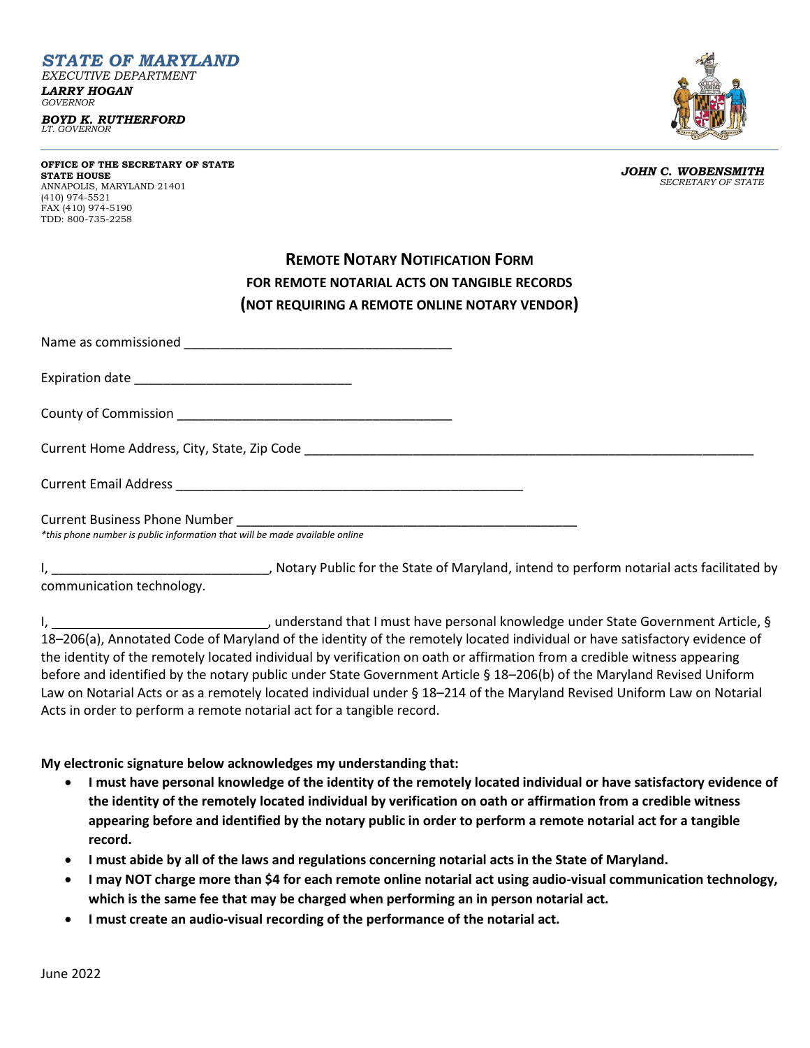*STATE OF MARYLAND EXECUTIVE DEPARTMENT LARRY HOGAN GOVERNOR*

*BOYD K. RUTHERFORD LT. GOVERNOR*

**OFFICE OF THE SECRETARY OF STATE STATE HOUSE** ANNAPOLIS, MARYLAND 21401 (410) 974-5521 FAX (410) 974-5190 TDD: 800-735-2258

*JOHN C. WOBENSMITH SECRETARY OF STATE*

## **REMOTE NOTARY NOTIFICATION FORM FOR REMOTE NOTARIAL ACTS ON TANGIBLE RECORDS (NOT REQUIRING A REMOTE ONLINE NOTARY VENDOR)**

| *this phone number is public information that will be made available online |  |
|-----------------------------------------------------------------------------|--|

I, \_\_\_\_\_\_\_\_\_\_\_\_\_\_\_\_\_\_\_\_\_\_\_\_\_\_\_\_\_\_, Notary Public for the State of Maryland, intend to perform notarial acts facilitated by

communication technology.

I, 1. 1. 2012 1. Understand that I must have personal knowledge under State Government Article, § 18–206(a), Annotated Code of Maryland of the identity of the remotely located individual or have satisfactory evidence of the identity of the remotely located individual by verification on oath or affirmation from a credible witness appearing before and identified by the notary public under State Government Article § 18–206(b) of the Maryland Revised Uniform Law on Notarial Acts or as a remotely located individual under § 18–214 of the Maryland Revised Uniform Law on Notarial Acts in order to perform a remote notarial act for a tangible record.

**My electronic signature below acknowledges my understanding that:**

- **I must have personal knowledge of the identity of the remotely located individual or have satisfactory evidence of the identity of the remotely located individual by verification on oath or affirmation from a credible witness appearing before and identified by the notary public in order to perform a remote notarial act for a tangible record.**
- **I must abide by all of the laws and regulations concerning notarial acts in the State of Maryland.**
- **I may NOT charge more than \$4 for each remote online notarial act using audio-visual communication technology, which is the same fee that may be charged when performing an in person notarial act.**
- **I must create an audio-visual recording of the performance of the notarial act.**